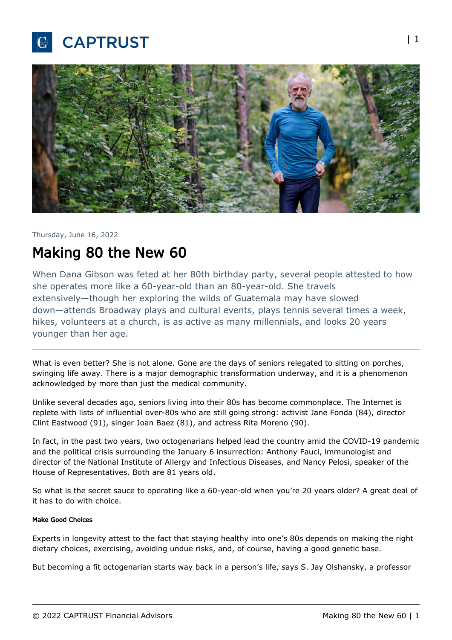



#### Thursday, June 16, 2022

# Making 80 the New 60

When Dana Gibson was feted at her 80th birthday party, several people attested to how she operates more like a 60-year-old than an 80-year-old. She travels extensively—though her exploring the wilds of Guatemala may have slowed down—attends Broadway plays and cultural events, plays tennis several times a week, hikes, volunteers at a church, is as active as many millennials, and looks 20 years younger than her age.

What is even better? She is not alone. Gone are the days of seniors relegated to sitting on porches, swinging life away. There is a major demographic transformation underway, and it is a phenomenon acknowledged by more than just the medical community.

Unlike several decades ago, seniors living into their 80s has become commonplace. The Internet is replete with lists of influential over-80s who are still going strong: activist Jane Fonda (84), director Clint Eastwood (91), singer Joan Baez (81), and actress Rita Moreno (90).

In fact, in the past two years, two octogenarians helped lead the country amid the COVID-19 pandemic and the political crisis surrounding the January 6 insurrection: Anthony Fauci, immunologist and director of the National Institute of Allergy and Infectious Diseases, and Nancy Pelosi, speaker of the House of Representatives. Both are 81 years old.

So what is the secret sauce to operating like a 60-year-old when you're 20 years older? A great deal of it has to do with choice.

#### Make Good Choices

Experts in longevity attest to the fact that staying healthy into one's 80s depends on making the right dietary choices, exercising, avoiding undue risks, and, of course, having a good genetic base.

But becoming a fit octogenarian starts way back in a person's life, says S. Jay Olshansky, a professor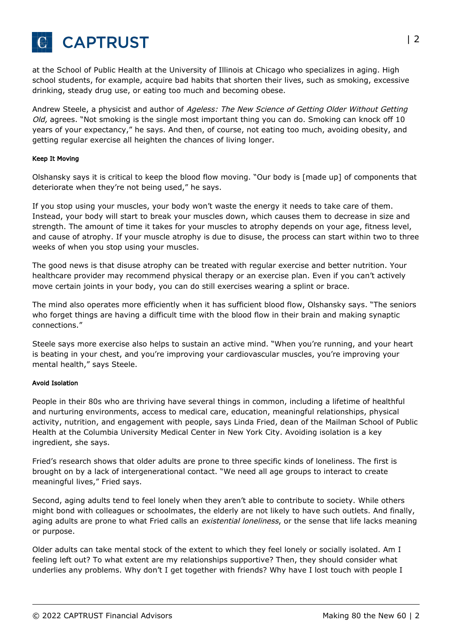

at the School of Public Health at the University of Illinois at Chicago who specializes in aging. High school students, for example, acquire bad habits that shorten their lives, such as smoking, excessive drinking, steady drug use, or eating too much and becoming obese.

Andrew Steele, a physicist and author of Ageless: The New Science of Getting Older Without Getting Old, agrees. "Not smoking is the single most important thing you can do. Smoking can knock off 10 years of your expectancy," he says. And then, of course, not eating too much, avoiding obesity, and getting regular exercise all heighten the chances of living longer.

#### Keep It Moving

Olshansky says it is critical to keep the blood flow moving. "Our body is [made up] of components that deteriorate when they're not being used," he says.

If you stop using your muscles, your body won't waste the energy it needs to take care of them. Instead, your body will start to break your muscles down, which causes them to decrease in size and strength. The amount of time it takes for your muscles to atrophy depends on your age, fitness level, and cause of atrophy. If your muscle atrophy is due to disuse, the process can start within two to three weeks of when you stop using your muscles.

The good news is that disuse atrophy can be treated with regular exercise and better nutrition. Your healthcare provider may recommend physical therapy or an exercise plan. Even if you can't actively move certain joints in your body, you can do still exercises wearing a splint or brace.

The mind also operates more efficiently when it has sufficient blood flow, Olshansky says. "The seniors who forget things are having a difficult time with the blood flow in their brain and making synaptic connections."

Steele says more exercise also helps to sustain an active mind. "When you're running, and your heart is beating in your chest, and you're improving your cardiovascular muscles, you're improving your mental health," says Steele.

#### Avoid Isolation

People in their 80s who are thriving have several things in common, including a lifetime of healthful and nurturing environments, access to medical care, education, meaningful relationships, physical activity, nutrition, and engagement with people, says Linda Fried, dean of the Mailman School of Public Health at the Columbia University Medical Center in New York City. Avoiding isolation is a key ingredient, she says.

Fried's research shows that older adults are prone to three specific kinds of loneliness. The first is brought on by a lack of intergenerational contact. "We need all age groups to interact to create meaningful lives," Fried says.

Second, aging adults tend to feel lonely when they aren't able to contribute to society. While others might bond with colleagues or schoolmates, the elderly are not likely to have such outlets. And finally, aging adults are prone to what Fried calls an existential loneliness, or the sense that life lacks meaning or purpose.

Older adults can take mental stock of the extent to which they feel lonely or socially isolated. Am I feeling left out? To what extent are my relationships supportive? Then, they should consider what underlies any problems. Why don't I get together with friends? Why have I lost touch with people I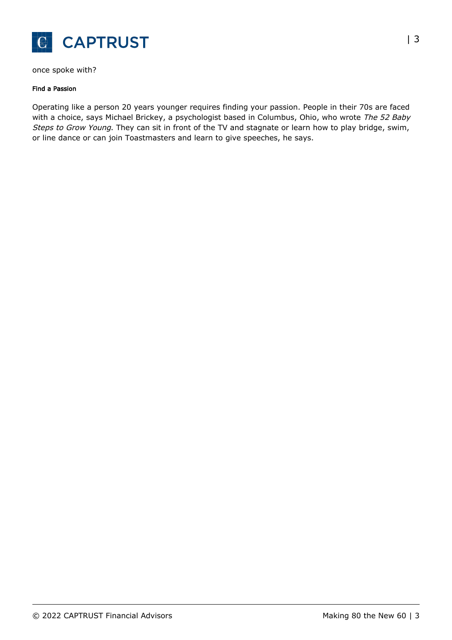

once spoke with?

#### Find a Passion

Operating like a person 20 years younger requires finding your passion. People in their 70s are faced with a choice, says Michael Brickey, a psychologist based in Columbus, Ohio, who wrote The 52 Baby Steps to Grow Young. They can sit in front of the TV and stagnate or learn how to play bridge, swim, or line dance or can join Toastmasters and learn to give speeches, he says.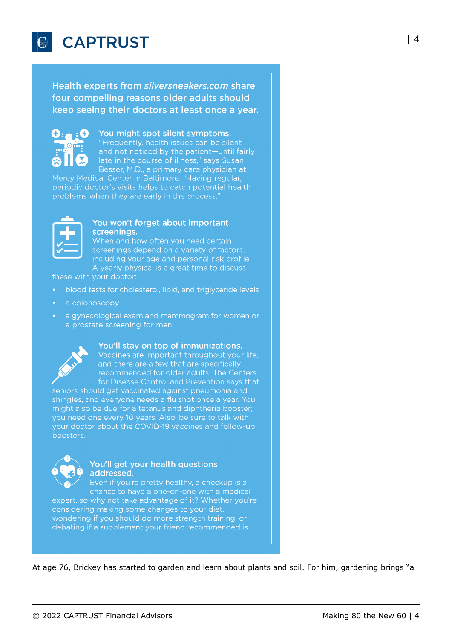

Health experts from silversneakers.com share four compelling reasons older adults should keep seeing their doctors at least once a year.



### You might spot silent symptoms.

"Frequently, health issues can be silentand not noticed by the patient-until fairly late in the course of illness," says Susan Besser, M.D., a primary care physician at

Mercy Medical Center in Baltimore. "Having regular, periodic doctor's visits helps to catch potential health problems when they are early in the process.



#### You won't forget about important screenings.

When and how often you need certain screenings depend on a variety of factors, including your age and personal risk profile. A yearly physical is a great time to discuss

these with your doctor:

- blood tests for cholesterol, lipid, and triglyceride levels
- a colonoscopy
- a gynecological exam and mammogram for women or a prostate screening for men



#### You'll stay on top of immunizations.

Vaccines are important throughout your life, and there are a few that are specifically recommended for older adults. The Centers for Disease Control and Prevention says that

seniors should get vaccinated against pneumonia and shingles, and everyone needs a flu shot once a year. You might also be due for a tetanus and diphtheria booster; you need one every 10 years. Also, be sure to talk with your doctor about the COVID-19 vaccines and follow-up boosters.



#### You'll get your health questions addressed.

Even if you're pretty healthy, a checkup is a chance to have a one-on-one with a medical expert, so why not take advantage of it? Whether you're considering making some changes to your diet, wondering if you should do more strength training, or debating if a supplement your friend recommended is

At age 76, Brickey has started to garden and learn about plants and soil. For him, gardening brings "a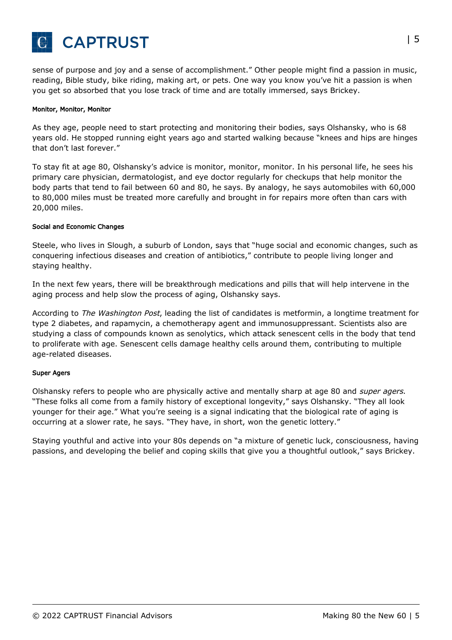

sense of purpose and joy and a sense of accomplishment." Other people might find a passion in music, reading, Bible study, bike riding, making art, or pets. One way you know you've hit a passion is when you get so absorbed that you lose track of time and are totally immersed, says Brickey.

#### Monitor, Monitor, Monitor

As they age, people need to start protecting and monitoring their bodies, says Olshansky, who is 68 years old. He stopped running eight years ago and started walking because "knees and hips are hinges that don't last forever."

To stay fit at age 80, Olshansky's advice is monitor, monitor, monitor. In his personal life, he sees his primary care physician, dermatologist, and eye doctor regularly for checkups that help monitor the body parts that tend to fail between 60 and 80, he says. By analogy, he says automobiles with 60,000 to 80,000 miles must be treated more carefully and brought in for repairs more often than cars with 20,000 miles.

#### Social and Economic Changes

Steele, who lives in Slough, a suburb of London, says that "huge social and economic changes, such as conquering infectious diseases and creation of antibiotics," contribute to people living longer and staying healthy.

In the next few years, there will be breakthrough medications and pills that will help intervene in the aging process and help slow the process of aging, Olshansky says.

According to The Washington Post, leading the list of candidates is metformin, a longtime treatment for type 2 diabetes, and rapamycin, a chemotherapy agent and immunosuppressant. Scientists also are studying a class of compounds known as senolytics, which attack senescent cells in the body that tend to proliferate with age. Senescent cells damage healthy cells around them, contributing to multiple age-related diseases.

#### Super Agers

Olshansky refers to people who are physically active and mentally sharp at age 80 and *super agers*. "These folks all come from a family history of exceptional longevity," says Olshansky. "They all look younger for their age." What you're seeing is a signal indicating that the biological rate of aging is occurring at a slower rate, he says. "They have, in short, won the genetic lottery."

Staying youthful and active into your 80s depends on "a mixture of genetic luck, consciousness, having passions, and developing the belief and coping skills that give you a thoughtful outlook," says Brickey.